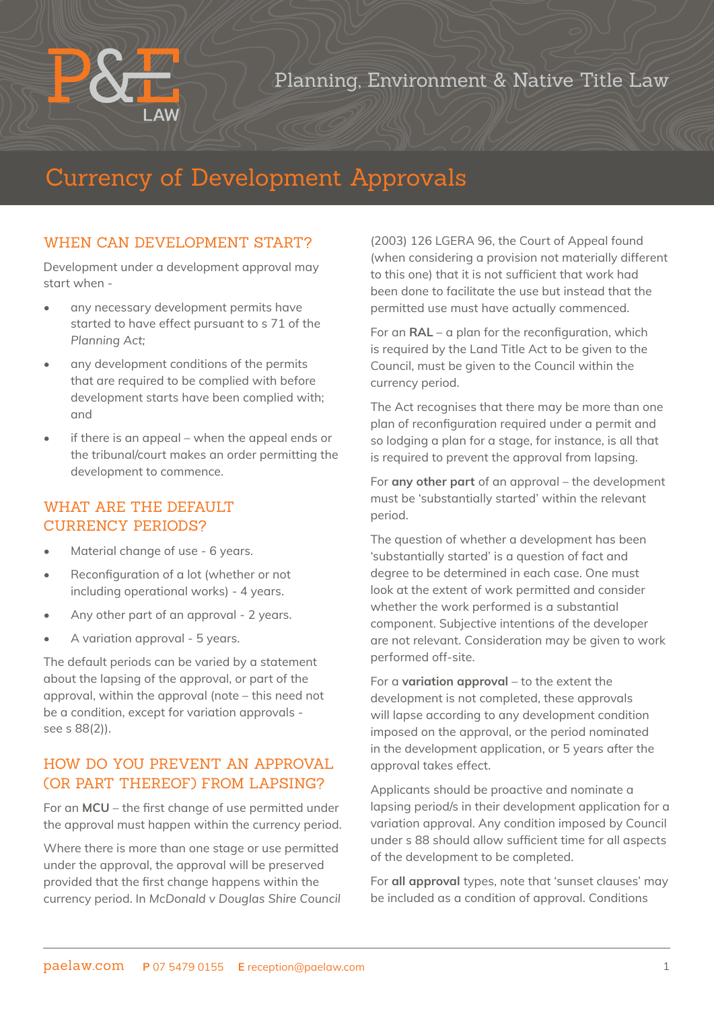## Planning, Environment & Native Title Law

# Currency of Development Approvals

#### WHEN CAN DEVELOPMENT START?

Development under a development approval may start when -

- any necessary development permits have started to have effect pursuant to s 71 of the *Planning Act;*
- any development conditions of the permits that are required to be complied with before development starts have been complied with; and
- if there is an appeal when the appeal ends or the tribunal/court makes an order permitting the development to commence.

#### WHAT ARE THE DEFAULT CURRENCY PERIODS?

- Material change of use 6 years.
- Reconfiguration of a lot (whether or not including operational works) - 4 years.
- Any other part of an approval 2 years.
- A variation approval 5 years.

The default periods can be varied by a statement about the lapsing of the approval, or part of the approval, within the approval (note – this need not be a condition, except for variation approvals see s 88(2)).

#### HOW DO YOU PREVENT AN APPROVAL (OR PART THEREOF) FROM LAPSING?

For an **MCU** – the first change of use permitted under the approval must happen within the currency period.

Where there is more than one stage or use permitted under the approval, the approval will be preserved provided that the first change happens within the currency period. In *McDonald v Douglas Shire Council* 

(2003) 126 LGERA 96, the Court of Appeal found (when considering a provision not materially different to this one) that it is not sufficient that work had been done to facilitate the use but instead that the permitted use must have actually commenced.

For an **RAL** – a plan for the reconfiguration, which is required by the Land Title Act to be given to the Council, must be given to the Council within the currency period.

The Act recognises that there may be more than one plan of reconfiguration required under a permit and so lodging a plan for a stage, for instance, is all that is required to prevent the approval from lapsing.

For **any other part** of an approval – the development must be 'substantially started' within the relevant period.

The question of whether a development has been 'substantially started' is a question of fact and degree to be determined in each case. One must look at the extent of work permitted and consider whether the work performed is a substantial component. Subjective intentions of the developer are not relevant. Consideration may be given to work performed off-site.

For a **variation approval** – to the extent the development is not completed, these approvals will lapse according to any development condition imposed on the approval, or the period nominated in the development application, or 5 years after the approval takes effect.

Applicants should be proactive and nominate a lapsing period/s in their development application for a variation approval. Any condition imposed by Council under s 88 should allow sufficient time for all aspects of the development to be completed.

For **all approval** types, note that 'sunset clauses' may be included as a condition of approval. Conditions